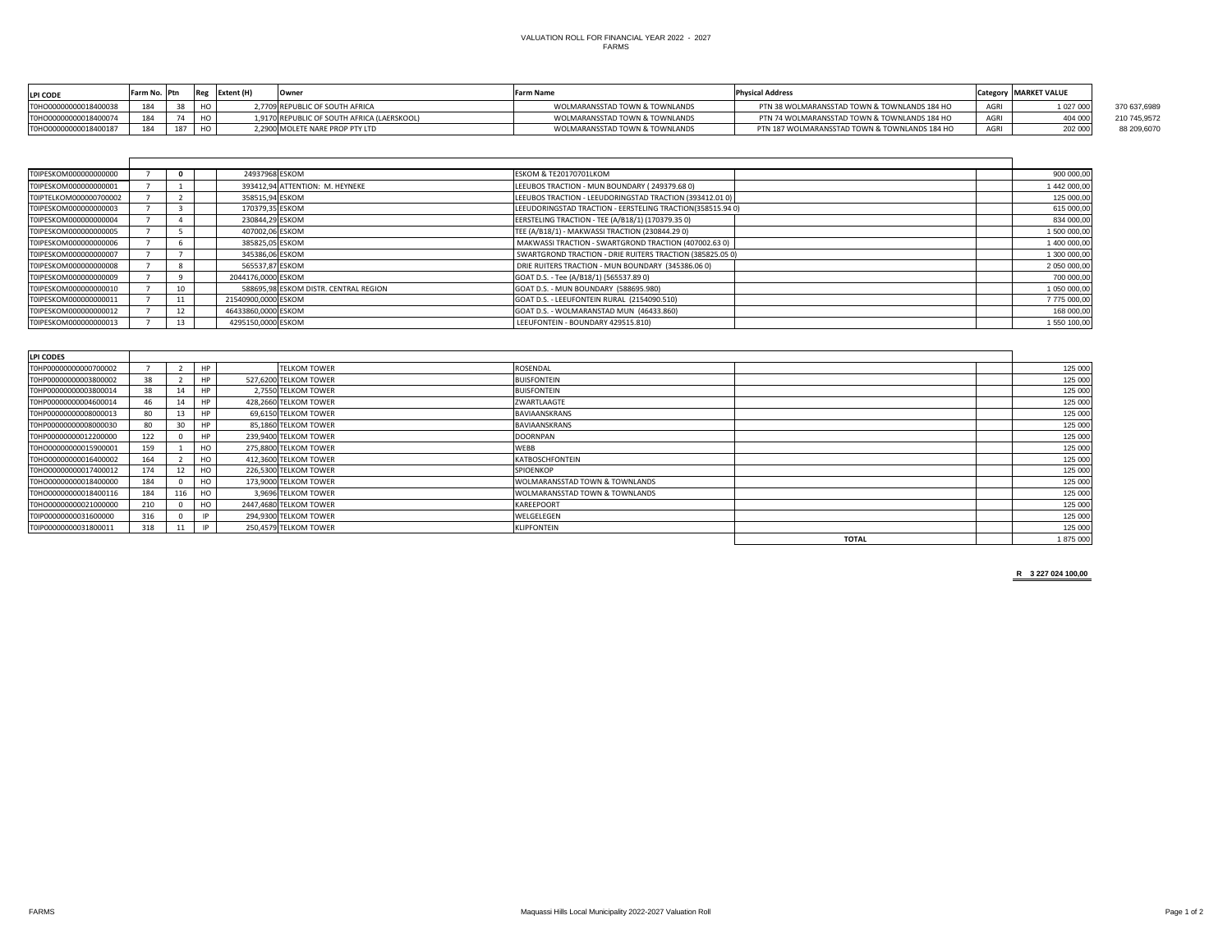| <b>LPI CODE</b>       | <b>IFarm No. 1Ptn</b> |  | <b>LExtent (H</b> | IOwnei                                      | <b>Farm Name</b>               | <b>Physical Address</b>                       |      | 'Category   MARKET VALUE |              |
|-----------------------|-----------------------|--|-------------------|---------------------------------------------|--------------------------------|-----------------------------------------------|------|--------------------------|--------------|
| T0HO00000000018400038 | 18 <sub>A</sub>       |  |                   | 2,7709 REPUBLIC OF SOUTH AFRICA             | WOLMARANSSTAD TOWN & TOWNLANDS | PTN 38 WOLMARANSSTAD TOWN & TOWNLANDS 184 HO  | AGRI | 027 000                  | 370 637,6989 |
| T0HO00000000018400074 | 18 <sub>A</sub>       |  |                   | 1,9170 REPUBLIC OF SOUTH AFRICA (LAERSKOOL) | WOLMARANSSTAD TOWN & TOWNLANDS | PTN 74 WOLMARANSSTAD TOWN & TOWNLANDS 184 HO  | AGRI | 404 000                  | 210 745,9572 |
| T0HO00000000018400187 | 184                   |  |                   | 2,2900 MOLETE NARE PROP PTY LTD             | WOLMARANSSTAD TOWN & TOWNLANDS | PTN 187 WOLMARANSSTAD TOWN & TOWNLANDS 184 HO | AGRI | 202 000                  | 88 209,6070  |

| T0IPESKOM000000000000  |    | 24937968 ESKOM      |                                       | ESKOM & TE20170701LKOM                                     | 900 000,00   |
|------------------------|----|---------------------|---------------------------------------|------------------------------------------------------------|--------------|
| T0IPESKOM000000000001  |    |                     | 393412,94 ATTENTION: M. HEYNEKE       | LEEUBOS TRACTION - MUN BOUNDARY (249379.680)               | 1 442 000,00 |
| T0IPTELKOM000000700002 |    | 358515,94 ESKOM     |                                       | LEEUBOS TRACTION - LEEUDORINGSTAD TRACTION (393412.01 0)   | 125 000,00   |
| T0IPESKOM000000000003  |    | 170379,35 ESKOM     |                                       | LEEUDORINGSTAD TRACTION - EERSTELING TRACTION(358515.94 0) | 615 000,00   |
| T0IPESKOM000000000004  |    | 230844,29 ESKOM     |                                       | EERSTELING TRACTION - TEE (A/B18/1) (170379.35 0)          | 834 000,00   |
| T0IPESKOM000000000005  |    | 407002,06 ESKOM     |                                       | TEE (A/B18/1) - MAKWASSI TRACTION (230844.29 0)            | 1 500 000,00 |
| T0IPESKOM000000000006  |    | 385825,05 ESKOM     |                                       | MAKWASSI TRACTION - SWARTGROND TRACTION (407002.63 0)      | 1 400 000,00 |
| T0IPESKOM000000000007  |    | 345386,06 ESKOM     |                                       | SWARTGROND TRACTION - DRIE RUITERS TRACTION (385825.05 0)  | 1 300 000,00 |
| T0IPESKOM0000000000008 |    | 565537,87 ESKOM     |                                       | DRIE RUITERS TRACTION - MUN BOUNDARY (345386.06 0)         | 2 050 000,00 |
| T0IPESKOM000000000009  |    | 2044176,0000 ESKOM  |                                       | GOAT D.S. - Tee (A/B18/1) (565537.89 0)                    | 700 000,00   |
| T0IPESKOM0000000000010 |    |                     | 588695,98 ESKOM DISTR. CENTRAL REGION | GOAT D.S. - MUN BOUNDARY (588695.980)                      | 1 050 000,00 |
| T0IPESKOM000000000011  | 11 | 21540900,0000 ESKOM |                                       | GOAT D.S. - LEEUFONTEIN RURAL (2154090.510)                | 7775 000,00  |
| T0IPESKOM0000000000012 |    | 46433860,0000 ESKOM |                                       | GOAT D.S. - WOLMARANSTAD MUN (46433.860)                   | 168 000,00   |
| T0IPESKOM000000000013  | 13 | 4295150,0000 ESKOM  |                                       | LEEUFONTEIN - BOUNDARY 429515.810)                         | 1 550 100,00 |

| <b>LPI CODES</b>      |     |     |           |                        |                                |              |         |
|-----------------------|-----|-----|-----------|------------------------|--------------------------------|--------------|---------|
| T0HP00000000000700002 |     |     | HP        | <b>TELKOM TOWER</b>    | ROSENDAL                       |              | 125 000 |
| T0HP00000000003800002 | 38  |     | HP        | 527,6200 TELKOM TOWER  | <b>BUISFONTEIN</b>             |              | 125 000 |
| T0HP00000000003800014 | 38  |     |           | 2,7550 TELKOM TOWER    | <b>BUISFONTEIN</b>             |              | 125 000 |
| T0HP00000000004600014 | 46  |     | HP        | 428,2660 TELKOM TOWER  | ZWARTLAAGTE                    |              | 125 000 |
| T0HP00000000008000013 | 80  |     | <b>HP</b> | 69,6150 TELKOM TOWER   | <b>BAVIAANSKRANS</b>           |              | 125 000 |
| T0HP00000000008000030 | 80  | 30  | HP        | 85,1860 TELKOM TOWER   | <b>BAVIAANSKRANS</b>           |              | 125 000 |
| T0HP00000000012200000 | 122 |     | <b>HP</b> | 239,9400 TELKOM TOWER  | <b>DOORNPAN</b>                |              | 125 000 |
| T0HO00000000015900001 | 159 |     | HO        | 275,8800 TELKOM TOWER  | <b>WEBB</b>                    |              | 125 000 |
| T0HO00000000016400002 | 164 |     | HO        | 412,3600 TELKOM TOWER  | KATBOSCHFONTEIN                |              | 125 000 |
| T0HO00000000017400012 | 174 |     | HO        | 226,5300 TELKOM TOWER  | SPIOENKOP                      |              | 125 000 |
| T0HO00000000018400000 | 184 |     | HO        | 173,9000 TELKOM TOWER  | WOLMARANSSTAD TOWN & TOWNLANDS |              | 125 000 |
| T0HO00000000018400116 | 184 | 116 | HO        | 3,9696 TELKOM TOWER    | WOLMARANSSTAD TOWN & TOWNLANDS |              | 125 000 |
| T0HO00000000021000000 | 210 |     | HO        | 2447,4680 TELKOM TOWER | KAREEPOORT                     |              | 125 000 |
| T0IP00000000031600000 | 316 |     |           | 294,9300 TELKOM TOWER  | WELGELEGEN                     |              | 125 000 |
| T0IP00000000031800011 | 318 | 11  | IP        | 250,4579 TELKOM TOWER  | <b>KLIPFONTEIN</b>             |              | 125 000 |
|                       |     |     |           |                        |                                | <b>TOTAL</b> | 1875000 |

**R 3 227 024 100,00**